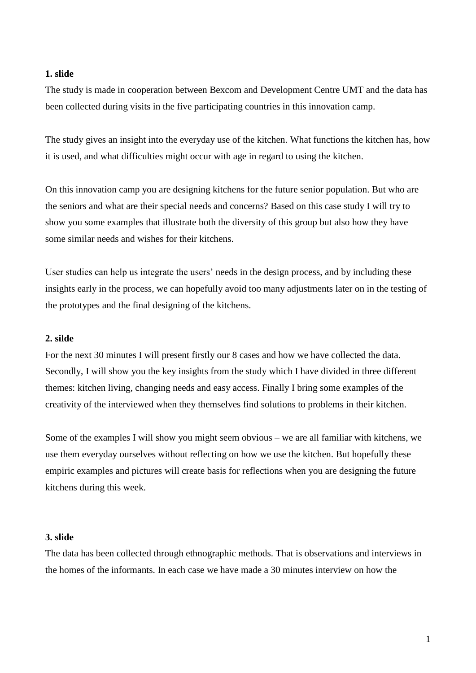The study is made in cooperation between Bexcom and Development Centre UMT and the data has been collected during visits in the five participating countries in this innovation camp.

The study gives an insight into the everyday use of the kitchen. What functions the kitchen has, how it is used, and what difficulties might occur with age in regard to using the kitchen.

On this innovation camp you are designing kitchens for the future senior population. But who are the seniors and what are their special needs and concerns? Based on this case study I will try to show you some examples that illustrate both the diversity of this group but also how they have some similar needs and wishes for their kitchens.

User studies can help us integrate the users' needs in the design process, and by including these insights early in the process, we can hopefully avoid too many adjustments later on in the testing of the prototypes and the final designing of the kitchens.

#### **2. silde**

For the next 30 minutes I will present firstly our 8 cases and how we have collected the data. Secondly, I will show you the key insights from the study which I have divided in three different themes: kitchen living, changing needs and easy access. Finally I bring some examples of the creativity of the interviewed when they themselves find solutions to problems in their kitchen.

Some of the examples I will show you might seem obvious – we are all familiar with kitchens, we use them everyday ourselves without reflecting on how we use the kitchen. But hopefully these empiric examples and pictures will create basis for reflections when you are designing the future kitchens during this week.

#### **3. slide**

The data has been collected through ethnographic methods. That is observations and interviews in the homes of the informants. In each case we have made a 30 minutes interview on how the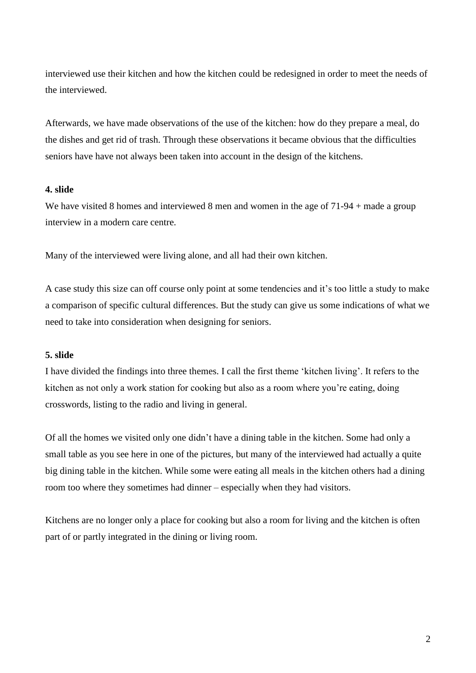interviewed use their kitchen and how the kitchen could be redesigned in order to meet the needs of the interviewed.

Afterwards, we have made observations of the use of the kitchen: how do they prepare a meal, do the dishes and get rid of trash. Through these observations it became obvious that the difficulties seniors have have not always been taken into account in the design of the kitchens.

# **4. slide**

We have visited 8 homes and interviewed 8 men and women in the age of 71-94 + made a group interview in a modern care centre.

Many of the interviewed were living alone, and all had their own kitchen.

A case study this size can off course only point at some tendencies and it's too little a study to make a comparison of specific cultural differences. But the study can give us some indications of what we need to take into consideration when designing for seniors.

# **5. slide**

I have divided the findings into three themes. I call the first theme 'kitchen living'. It refers to the kitchen as not only a work station for cooking but also as a room where you're eating, doing crosswords, listing to the radio and living in general.

Of all the homes we visited only one didn't have a dining table in the kitchen. Some had only a small table as you see here in one of the pictures, but many of the interviewed had actually a quite big dining table in the kitchen. While some were eating all meals in the kitchen others had a dining room too where they sometimes had dinner – especially when they had visitors.

Kitchens are no longer only a place for cooking but also a room for living and the kitchen is often part of or partly integrated in the dining or living room.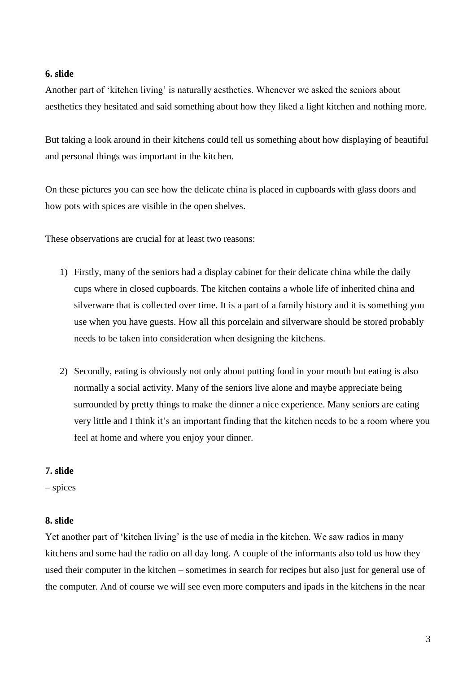Another part of 'kitchen living' is naturally aesthetics. Whenever we asked the seniors about aesthetics they hesitated and said something about how they liked a light kitchen and nothing more.

But taking a look around in their kitchens could tell us something about how displaying of beautiful and personal things was important in the kitchen.

On these pictures you can see how the delicate china is placed in cupboards with glass doors and how pots with spices are visible in the open shelves.

These observations are crucial for at least two reasons:

- 1) Firstly, many of the seniors had a display cabinet for their delicate china while the daily cups where in closed cupboards. The kitchen contains a whole life of inherited china and silverware that is collected over time. It is a part of a family history and it is something you use when you have guests. How all this porcelain and silverware should be stored probably needs to be taken into consideration when designing the kitchens.
- 2) Secondly, eating is obviously not only about putting food in your mouth but eating is also normally a social activity. Many of the seniors live alone and maybe appreciate being surrounded by pretty things to make the dinner a nice experience. Many seniors are eating very little and I think it's an important finding that the kitchen needs to be a room where you feel at home and where you enjoy your dinner.

# **7. slide**

– spices

# **8. slide**

Yet another part of 'kitchen living' is the use of media in the kitchen. We saw radios in many kitchens and some had the radio on all day long. A couple of the informants also told us how they used their computer in the kitchen – sometimes in search for recipes but also just for general use of the computer. And of course we will see even more computers and ipads in the kitchens in the near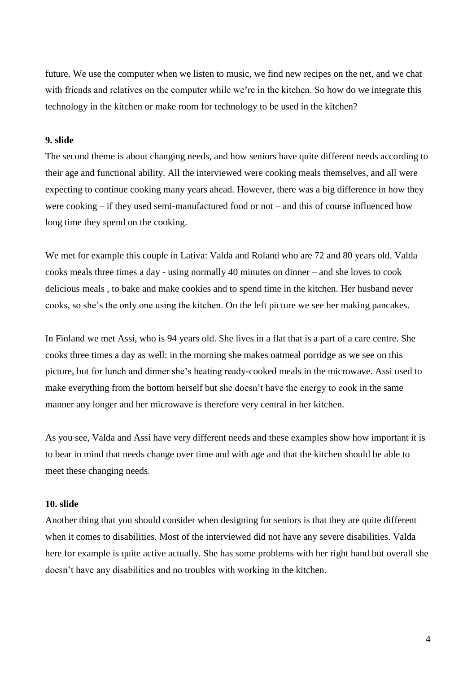future. We use the computer when we listen to music, we find new recipes on the net, and we chat with friends and relatives on the computer while we're in the kitchen. So how do we integrate this technology in the kitchen or make room for technology to be used in the kitchen?

### **9. slide**

The second theme is about changing needs, and how seniors have quite different needs according to their age and functional ability. All the interviewed were cooking meals themselves, and all were expecting to continue cooking many years ahead. However, there was a big difference in how they were cooking – if they used semi-manufactured food or not – and this of course influenced how long time they spend on the cooking.

We met for example this couple in Lativa: Valda and Roland who are 72 and 80 years old. Valda cooks meals three times a day - using normally 40 minutes on dinner – and she loves to cook delicious meals , to bake and make cookies and to spend time in the kitchen. Her husband never cooks, so she's the only one using the kitchen. On the left picture we see her making pancakes.

In Finland we met Assi, who is 94 years old. She lives in a flat that is a part of a care centre. She cooks three times a day as well: in the morning she makes oatmeal porridge as we see on this picture, but for lunch and dinner she's heating ready-cooked meals in the microwave. Assi used to make everything from the bottom herself but she doesn't have the energy to cook in the same manner any longer and her microwave is therefore very central in her kitchen.

As you see, Valda and Assi have very different needs and these examples show how important it is to bear in mind that needs change over time and with age and that the kitchen should be able to meet these changing needs.

## **10. slide**

Another thing that you should consider when designing for seniors is that they are quite different when it comes to disabilities. Most of the interviewed did not have any severe disabilities. Valda here for example is quite active actually. She has some problems with her right hand but overall she doesn't have any disabilities and no troubles with working in the kitchen.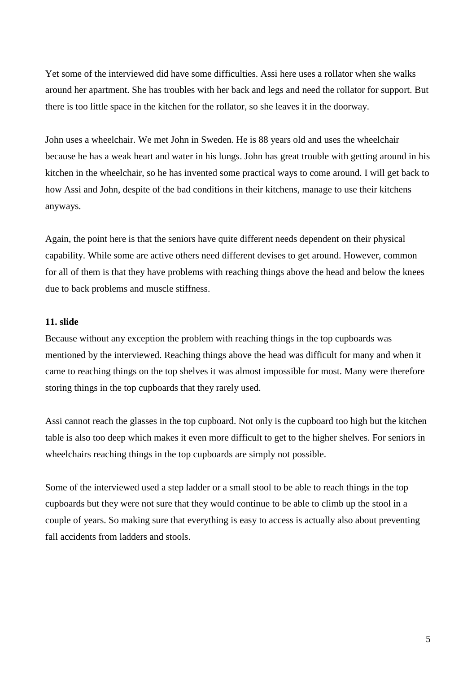Yet some of the interviewed did have some difficulties. Assi here uses a rollator when she walks around her apartment. She has troubles with her back and legs and need the rollator for support. But there is too little space in the kitchen for the rollator, so she leaves it in the doorway.

John uses a wheelchair. We met John in Sweden. He is 88 years old and uses the wheelchair because he has a weak heart and water in his lungs. John has great trouble with getting around in his kitchen in the wheelchair, so he has invented some practical ways to come around. I will get back to how Assi and John, despite of the bad conditions in their kitchens, manage to use their kitchens anyways.

Again, the point here is that the seniors have quite different needs dependent on their physical capability. While some are active others need different devises to get around. However, common for all of them is that they have problems with reaching things above the head and below the knees due to back problems and muscle stiffness.

# **11. slide**

Because without any exception the problem with reaching things in the top cupboards was mentioned by the interviewed. Reaching things above the head was difficult for many and when it came to reaching things on the top shelves it was almost impossible for most. Many were therefore storing things in the top cupboards that they rarely used.

Assi cannot reach the glasses in the top cupboard. Not only is the cupboard too high but the kitchen table is also too deep which makes it even more difficult to get to the higher shelves. For seniors in wheelchairs reaching things in the top cupboards are simply not possible.

Some of the interviewed used a step ladder or a small stool to be able to reach things in the top cupboards but they were not sure that they would continue to be able to climb up the stool in a couple of years. So making sure that everything is easy to access is actually also about preventing fall accidents from ladders and stools.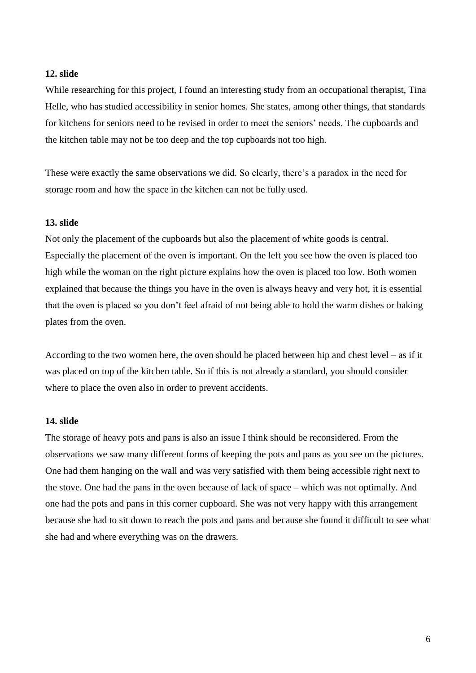While researching for this project, I found an interesting study from an occupational therapist, Tina Helle, who has studied accessibility in senior homes. She states, among other things, that standards for kitchens for seniors need to be revised in order to meet the seniors' needs. The cupboards and the kitchen table may not be too deep and the top cupboards not too high.

These were exactly the same observations we did. So clearly, there's a paradox in the need for storage room and how the space in the kitchen can not be fully used.

### **13. slide**

Not only the placement of the cupboards but also the placement of white goods is central. Especially the placement of the oven is important. On the left you see how the oven is placed too high while the woman on the right picture explains how the oven is placed too low. Both women explained that because the things you have in the oven is always heavy and very hot, it is essential that the oven is placed so you don't feel afraid of not being able to hold the warm dishes or baking plates from the oven.

According to the two women here, the oven should be placed between hip and chest level – as if it was placed on top of the kitchen table. So if this is not already a standard, you should consider where to place the oven also in order to prevent accidents.

### **14. slide**

The storage of heavy pots and pans is also an issue I think should be reconsidered. From the observations we saw many different forms of keeping the pots and pans as you see on the pictures. One had them hanging on the wall and was very satisfied with them being accessible right next to the stove. One had the pans in the oven because of lack of space – which was not optimally. And one had the pots and pans in this corner cupboard. She was not very happy with this arrangement because she had to sit down to reach the pots and pans and because she found it difficult to see what she had and where everything was on the drawers.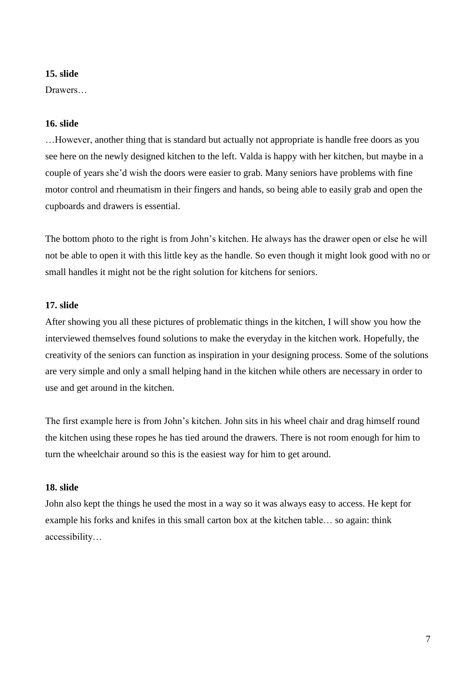Drawers…

#### **16. slide**

…However, another thing that is standard but actually not appropriate is handle free doors as you see here on the newly designed kitchen to the left. Valda is happy with her kitchen, but maybe in a couple of years she'd wish the doors were easier to grab. Many seniors have problems with fine motor control and rheumatism in their fingers and hands, so being able to easily grab and open the cupboards and drawers is essential.

The bottom photo to the right is from John's kitchen. He always has the drawer open or else he will not be able to open it with this little key as the handle. So even though it might look good with no or small handles it might not be the right solution for kitchens for seniors.

# **17. slide**

After showing you all these pictures of problematic things in the kitchen, I will show you how the interviewed themselves found solutions to make the everyday in the kitchen work. Hopefully, the creativity of the seniors can function as inspiration in your designing process. Some of the solutions are very simple and only a small helping hand in the kitchen while others are necessary in order to use and get around in the kitchen.

The first example here is from John's kitchen. John sits in his wheel chair and drag himself round the kitchen using these ropes he has tied around the drawers. There is not room enough for him to turn the wheelchair around so this is the easiest way for him to get around.

## **18. slide**

John also kept the things he used the most in a way so it was always easy to access. He kept for example his forks and knifes in this small carton box at the kitchen table… so again: think accessibility…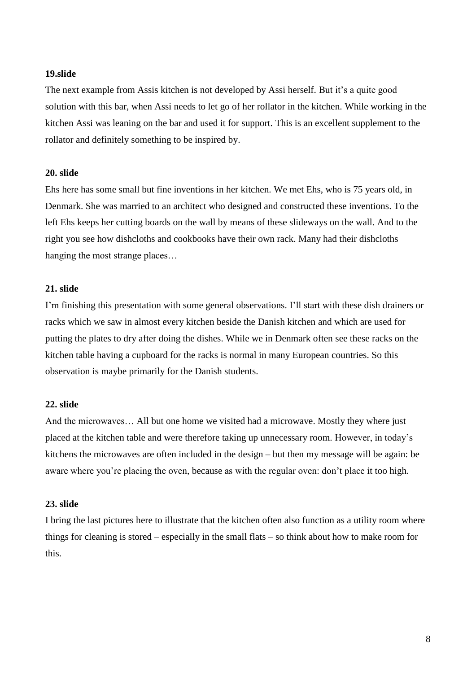The next example from Assis kitchen is not developed by Assi herself. But it's a quite good solution with this bar, when Assi needs to let go of her rollator in the kitchen. While working in the kitchen Assi was leaning on the bar and used it for support. This is an excellent supplement to the rollator and definitely something to be inspired by.

# **20. slide**

Ehs here has some small but fine inventions in her kitchen. We met Ehs, who is 75 years old, in Denmark. She was married to an architect who designed and constructed these inventions. To the left Ehs keeps her cutting boards on the wall by means of these slideways on the wall. And to the right you see how dishcloths and cookbooks have their own rack. Many had their dishcloths hanging the most strange places…

## **21. slide**

I'm finishing this presentation with some general observations. I'll start with these dish drainers or racks which we saw in almost every kitchen beside the Danish kitchen and which are used for putting the plates to dry after doing the dishes. While we in Denmark often see these racks on the kitchen table having a cupboard for the racks is normal in many European countries. So this observation is maybe primarily for the Danish students.

### **22. slide**

And the microwaves… All but one home we visited had a microwave. Mostly they where just placed at the kitchen table and were therefore taking up unnecessary room. However, in today's kitchens the microwaves are often included in the design – but then my message will be again: be aware where you're placing the oven, because as with the regular oven: don't place it too high.

#### **23. slide**

I bring the last pictures here to illustrate that the kitchen often also function as a utility room where things for cleaning is stored – especially in the small flats – so think about how to make room for this.